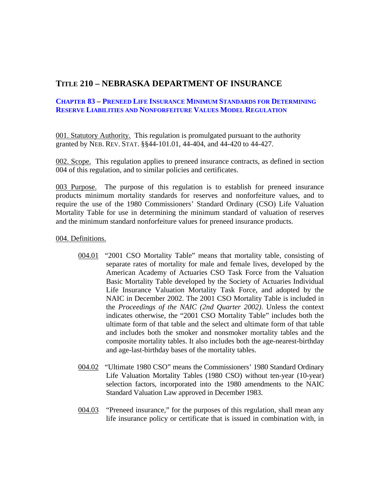## **TITLE 210 – NEBRASKA DEPARTMENT OF INSURANCE**

## **CHAPTER 83 – PRENEED LIFE INSURANCE MINIMUM STANDARDS FOR DETERMINING RESERVE LIABILITIES AND NONFORFEITURE VALUES MODEL REGULATION**

001. Statutory Authority. This regulation is promulgated pursuant to the authority granted by NEB. REV. STAT. §§44-101.01, 44-404, and 44-420 to 44-427.

002. Scope. This regulation applies to preneed insurance contracts, as defined in section 004 of this regulation, and to similar policies and certificates.

003 Purpose. The purpose of this regulation is to establish for preneed insurance products minimum mortality standards for reserves and nonforfeiture values, and to require the use of the 1980 Commissioners' Standard Ordinary (CSO) Life Valuation Mortality Table for use in determining the minimum standard of valuation of reserves and the minimum standard nonforfeiture values for preneed insurance products.

004. Definitions.

- 004.01 "2001 CSO Mortality Table" means that mortality table, consisting of separate rates of mortality for male and female lives, developed by the American Academy of Actuaries CSO Task Force from the Valuation Basic Mortality Table developed by the Society of Actuaries Individual Life Insurance Valuation Mortality Task Force, and adopted by the NAIC in December 2002. The 2001 CSO Mortality Table is included in the *Proceedings of the NAIC (2nd Quarter 2002)*. Unless the context indicates otherwise, the "2001 CSO Mortality Table" includes both the ultimate form of that table and the select and ultimate form of that table and includes both the smoker and nonsmoker mortality tables and the composite mortality tables. It also includes both the age-nearest-birthday and age-last-birthday bases of the mortality tables.
- 004.02 "Ultimate 1980 CSO" means the Commissioners' 1980 Standard Ordinary Life Valuation Mortality Tables (1980 CSO) without ten-year (10-year) selection factors, incorporated into the 1980 amendments to the NAIC Standard Valuation Law approved in December 1983.
- 004.03 "Preneed insurance," for the purposes of this regulation, shall mean any life insurance policy or certificate that is issued in combination with, in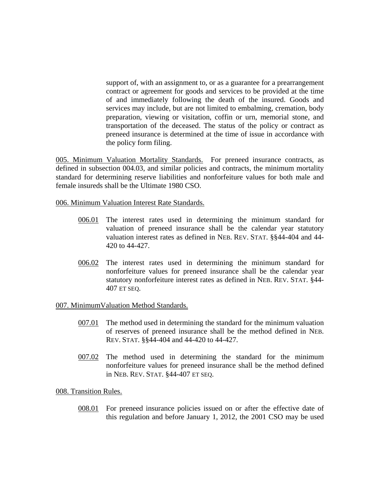support of, with an assignment to, or as a guarantee for a prearrangement contract or agreement for goods and services to be provided at the time of and immediately following the death of the insured. Goods and services may include, but are not limited to embalming, cremation, body preparation, viewing or visitation, coffin or urn, memorial stone, and transportation of the deceased. The status of the policy or contract as preneed insurance is determined at the time of issue in accordance with the policy form filing.

005. Minimum Valuation Mortality Standards. For preneed insurance contracts, as defined in subsection 004.03, and similar policies and contracts, the minimum mortality standard for determining reserve liabilities and nonforfeiture values for both male and female insureds shall be the Ultimate 1980 CSO.

006. Minimum Valuation Interest Rate Standards.

- 006.01 The interest rates used in determining the minimum standard for valuation of preneed insurance shall be the calendar year statutory valuation interest rates as defined in NEB. REV. STAT. §§44-404 and 44- 420 to 44-427.
- 006.02 The interest rates used in determining the minimum standard for nonforfeiture values for preneed insurance shall be the calendar year statutory nonforfeiture interest rates as defined in NEB. REV. STAT. §44- 407 ET SEQ.

## 007. MinimumValuation Method Standards.

- 007.01 The method used in determining the standard for the minimum valuation of reserves of preneed insurance shall be the method defined in NEB. REV. STAT. §§44-404 and 44-420 to 44-427.
- 007.02 The method used in determining the standard for the minimum nonforfeiture values for preneed insurance shall be the method defined in NEB. REV. STAT. §44-407 ET SEQ.

008. Transition Rules.

008.01 For preneed insurance policies issued on or after the effective date of this regulation and before January 1, 2012, the 2001 CSO may be used